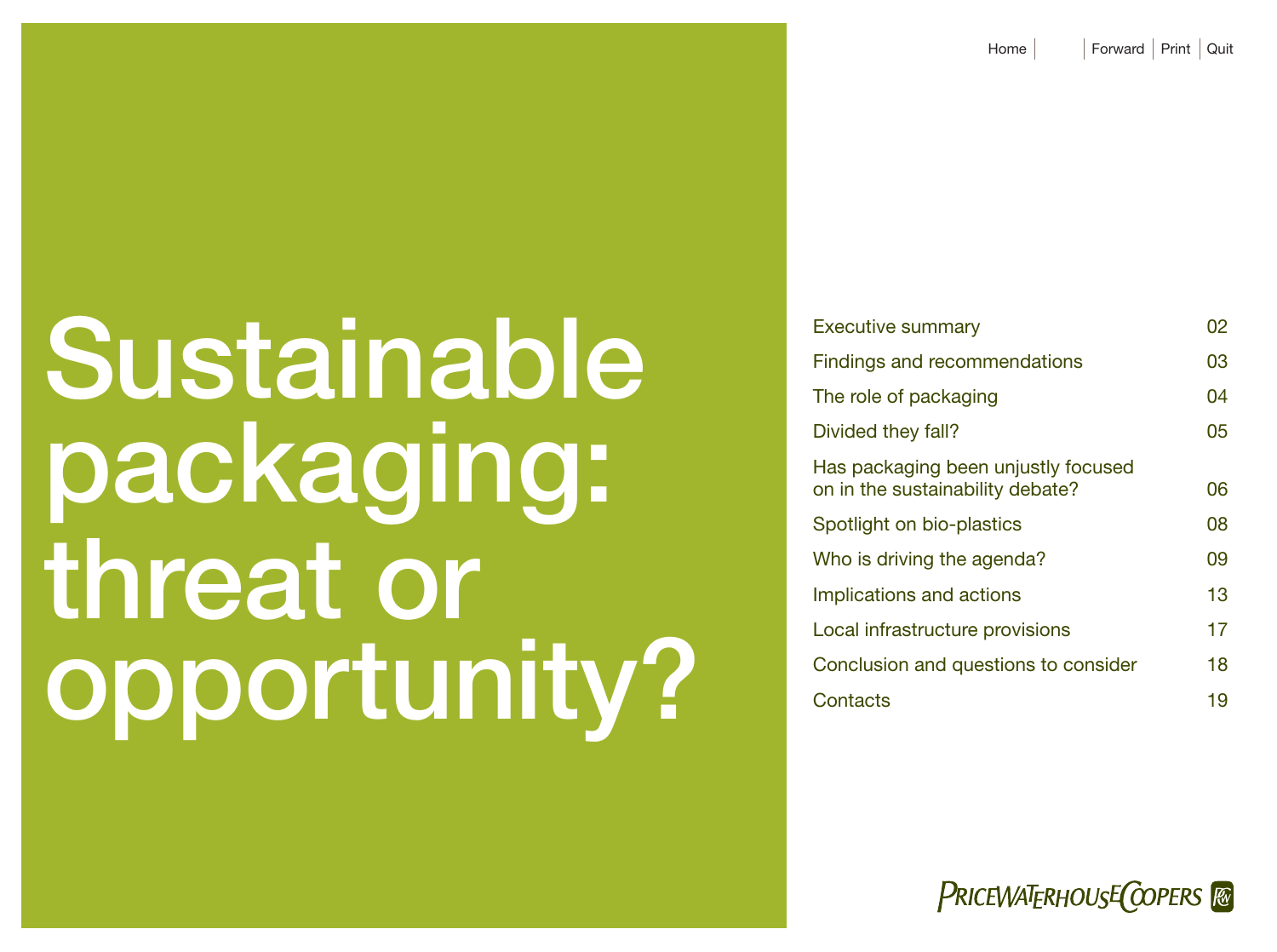# Sustainable packaging: threat or opportunity?

| <b>Executive summary</b>             |    |
|--------------------------------------|----|
| Findings and recommendations         | 03 |
| The role of packaging                | 04 |
| Divided they fall?                   | 05 |
| Has packaging been unjustly focused  |    |
| on in the sustainability debate?     | 06 |
| Spotlight on bio-plastics            | 08 |
| Who is driving the agenda?           | 09 |
| Implications and actions             | 13 |
| Local infrastructure provisions      | 17 |
| Conclusion and questions to consider | 18 |
| Contacts                             | 19 |

**PRICEWATERHOUSE COPERS**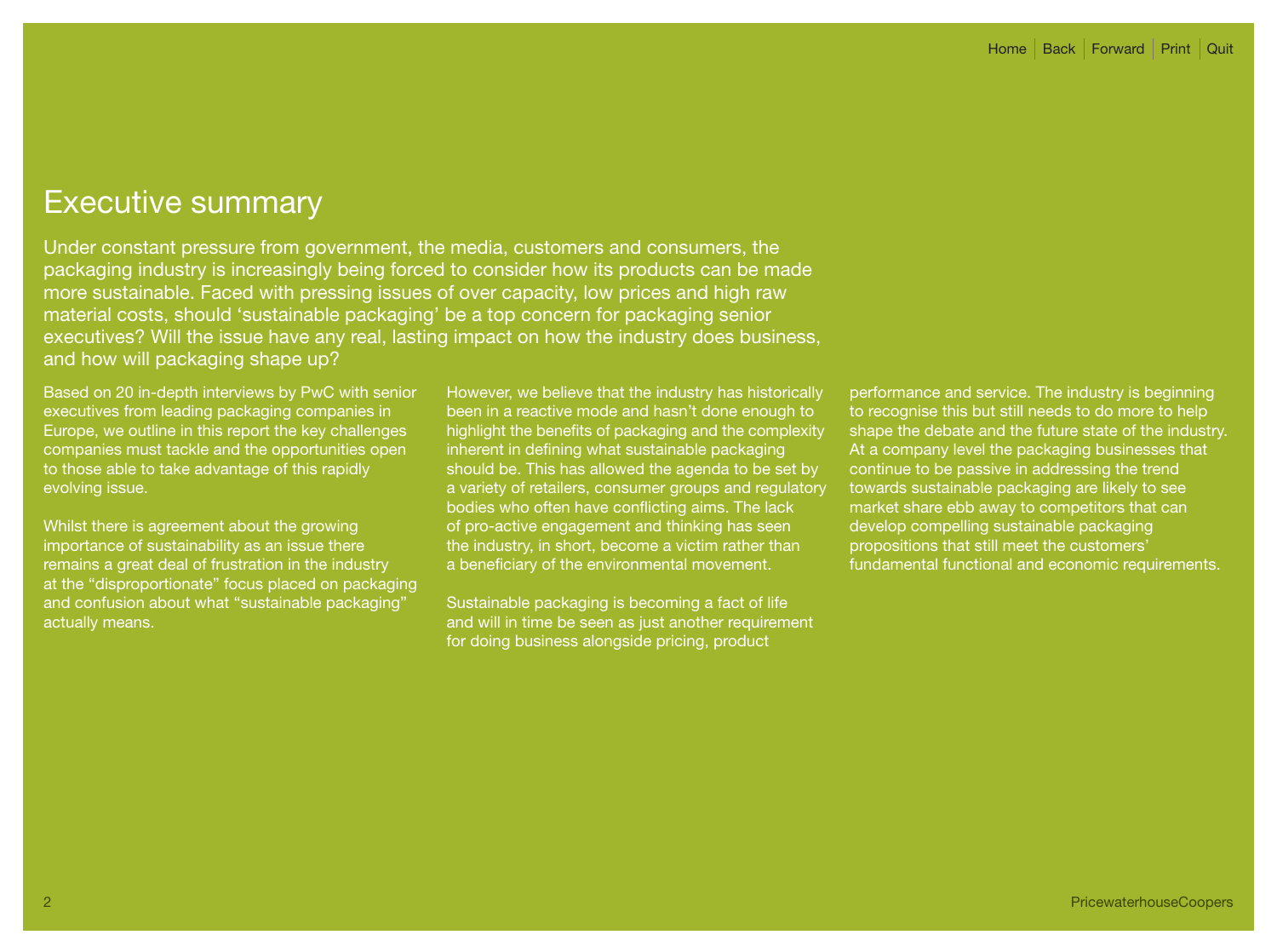# Executive summary

Under constant pressure from government, the media, customers and consumers, the packaging industry is increasingly being forced to consider how its products can be made more sustainable. Faced with pressing issues of over capacity, low prices and high raw material costs, should 'sustainable packaging' be a top concern for packaging senior executives? Will the issue have any real, lasting impact on how the industry does business, and how will packaging shape up?

Based on 20 in-depth interviews by PwC with senior executives from leading packaging companies in Europe, we outline in this report the key challenges companies must tackle and the opportunities open to those able to take advantage of this rapidly evolving issue.

Whilst there is agreement about the growing importance of sustainability as an issue there remains a great deal of frustration in the industry at the "disproportionate" focus placed on packaging and confusion about what "sustainable packaging" actually means.

However, we believe that the industry has historically been in a reactive mode and hasn't done enough to highlight the benefits of packaging and the complexity inherent in defining what sustainable packaging should be. This has allowed the agenda to be set by a variety of retailers, consumer groups and regulatory bodies who often have conflicting aims. The lack of pro-active engagement and thinking has seen the industry, in short, become a victim rather than a beneficiary of the environmental movement.

Sustainable packaging is becoming a fact of life and will in time be seen as just another requirement for doing business alongside pricing, product

performance and service. The industry is beginning to recognise this but still needs to do more to help shape the debate and the future state of the industry. At a company level the packaging businesses that continue to be passive in addressing the trend towards sustainable packaging are likely to see market share ebb away to competitors that can develop compelling sustainable packaging propositions that still meet the customers' fundamental functional and economic requirements.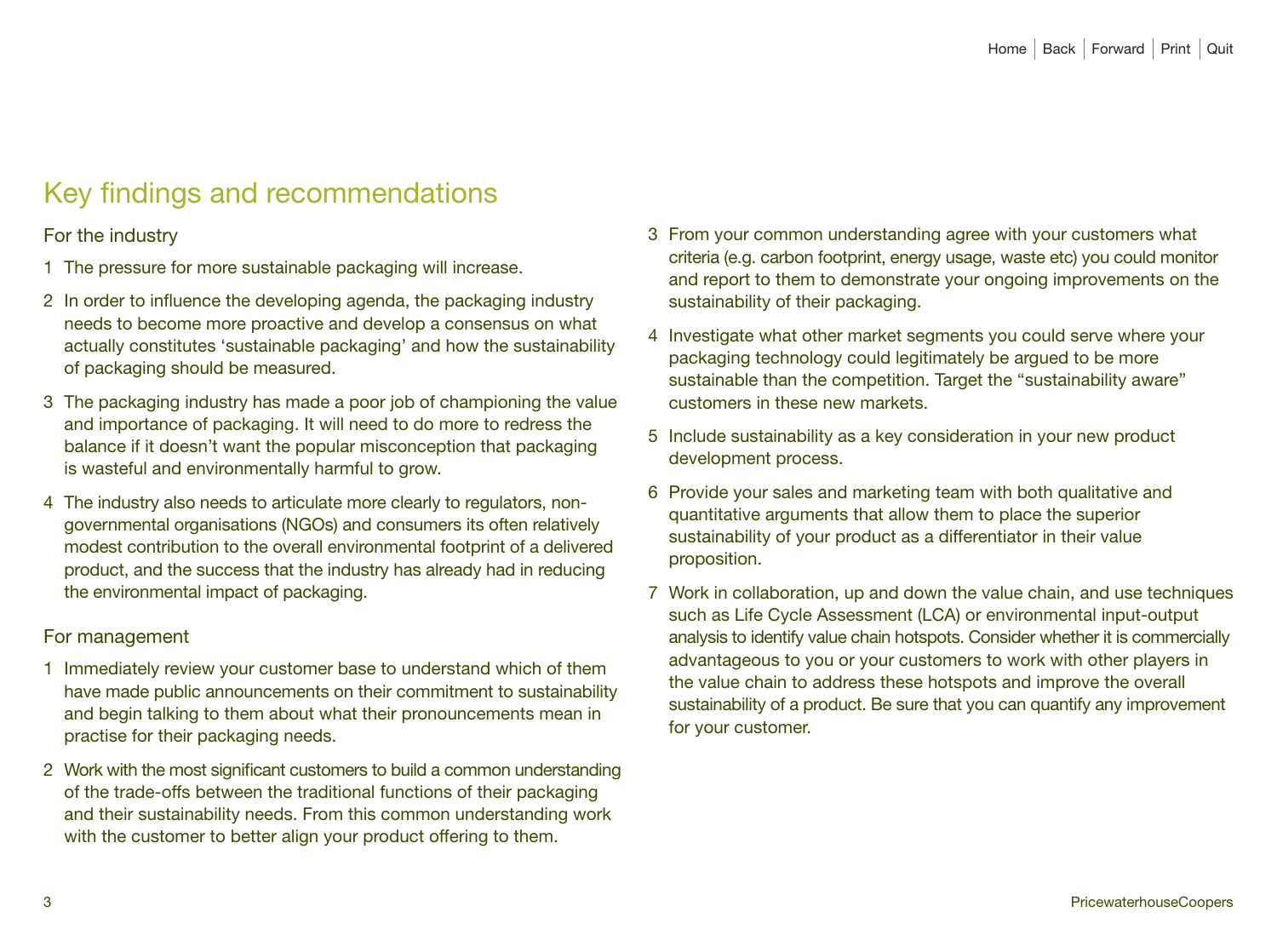# Key findings and recommendations

## For the industry

- 1 The pressure for more sustainable packaging will increase.
- 2 In order to influence the developing agenda, the packaging industry needs to become more proactive and develop a consensus on what actually constitutes 'sustainable packaging' and how the sustainability of packaging should be measured.
- 3 The packaging industry has made a poor job of championing the value and importance of packaging. It will need to do more to redress the balance if it doesn't want the popular misconception that packaging is wasteful and environmentally harmful to grow.
- 4 The industry also needs to articulate more clearly to regulators, nongovernmental organisations (NGOs) and consumers its often relatively modest contribution to the overall environmental footprint of a delivered product, and the success that the industry has already had in reducing the environmental impact of packaging.

## For management

- 1 Immediately review your customer base to understand which of them have made public announcements on their commitment to sustainability and begin talking to them about what their pronouncements mean in practise for their packaging needs.
- 2 Work with the most significant customers to build a common understanding of the trade-offs between the traditional functions of their packaging and their sustainability needs. From this common understanding work with the customer to better align your product offering to them.
- 3 From your common understanding agree with your customers what criteria (e.g. carbon footprint, energy usage, waste etc) you could monitor and report to them to demonstrate your ongoing improvements on the sustainability of their packaging.
- 4 Investigate what other market segments you could serve where your packaging technology could legitimately be argued to be more sustainable than the competition. Target the "sustainability aware" customers in these new markets.
- 5 Include sustainability as a key consideration in your new product development process.
- 6 Provide your sales and marketing team with both qualitative and quantitative arguments that allow them to place the superior sustainability of your product as a differentiator in their value proposition.
- 7 Work in collaboration, up and down the value chain, and use techniques such as Life Cycle Assessment (LCA) or environmental input-output analysis to identify value chain hotspots. Consider whether it is commercially advantageous to you or your customers to work with other players in the value chain to address these hotspots and improve the overall sustainability of a product. Be sure that you can quantify any improvement for your customer.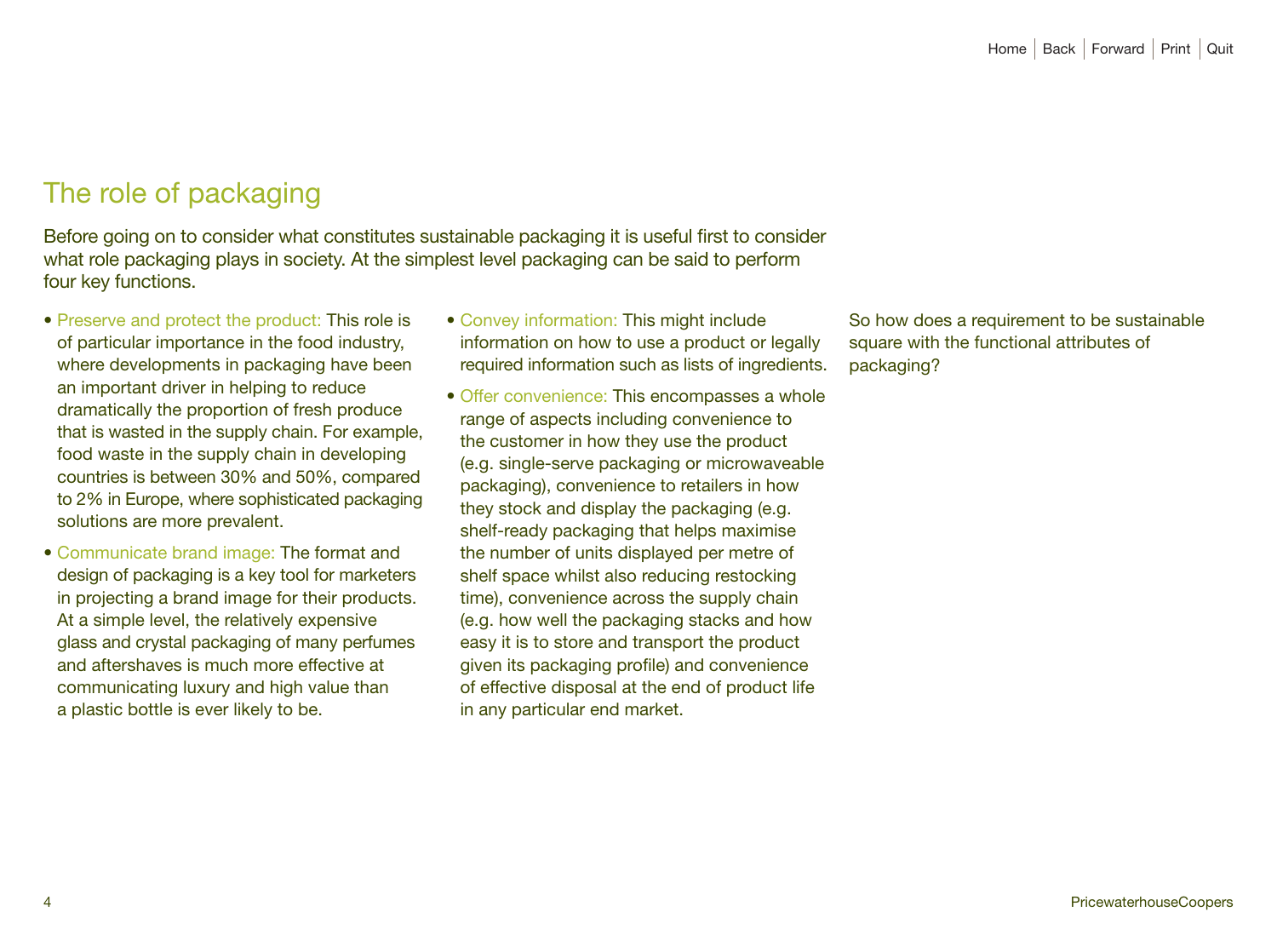# The role of packaging

Before going on to consider what constitutes sustainable packaging it is useful first to consider what role packaging plays in society. At the simplest level packaging can be said to perform four key functions.

- Preserve and protect the product: This role is of particular importance in the food industry, where developments in packaging have been an important driver in helping to reduce dramatically the proportion of fresh produce that is wasted in the supply chain. For example, food waste in the supply chain in developing countries is between 30% and 50%, compared to 2% in Europe, where sophisticated packaging solutions are more prevalent.
- Communicate brand image: The format and design of packaging is a key tool for marketers in projecting a brand image for their products. At a simple level, the relatively expensive glass and crystal packaging of many perfumes and aftershaves is much more effective at communicating luxury and high value than a plastic bottle is ever likely to be.

• Convey information: This might include information on how to use a product or legally required information such as lists of ingredients.

• Offer convenience: This encompasses a whole range of aspects including convenience to the customer in how they use the product (e.g. single-serve packaging or microwaveable packaging), convenience to retailers in how they stock and display the packaging (e.g. shelf-ready packaging that helps maximise the number of units displayed per metre of shelf space whilst also reducing restocking time), convenience across the supply chain (e.g. how well the packaging stacks and how easy it is to store and transport the product given its packaging profile) and convenience of effective disposal at the end of product life in any particular end market.

So how does a requirement to be sustainable square with the functional attributes of packaging?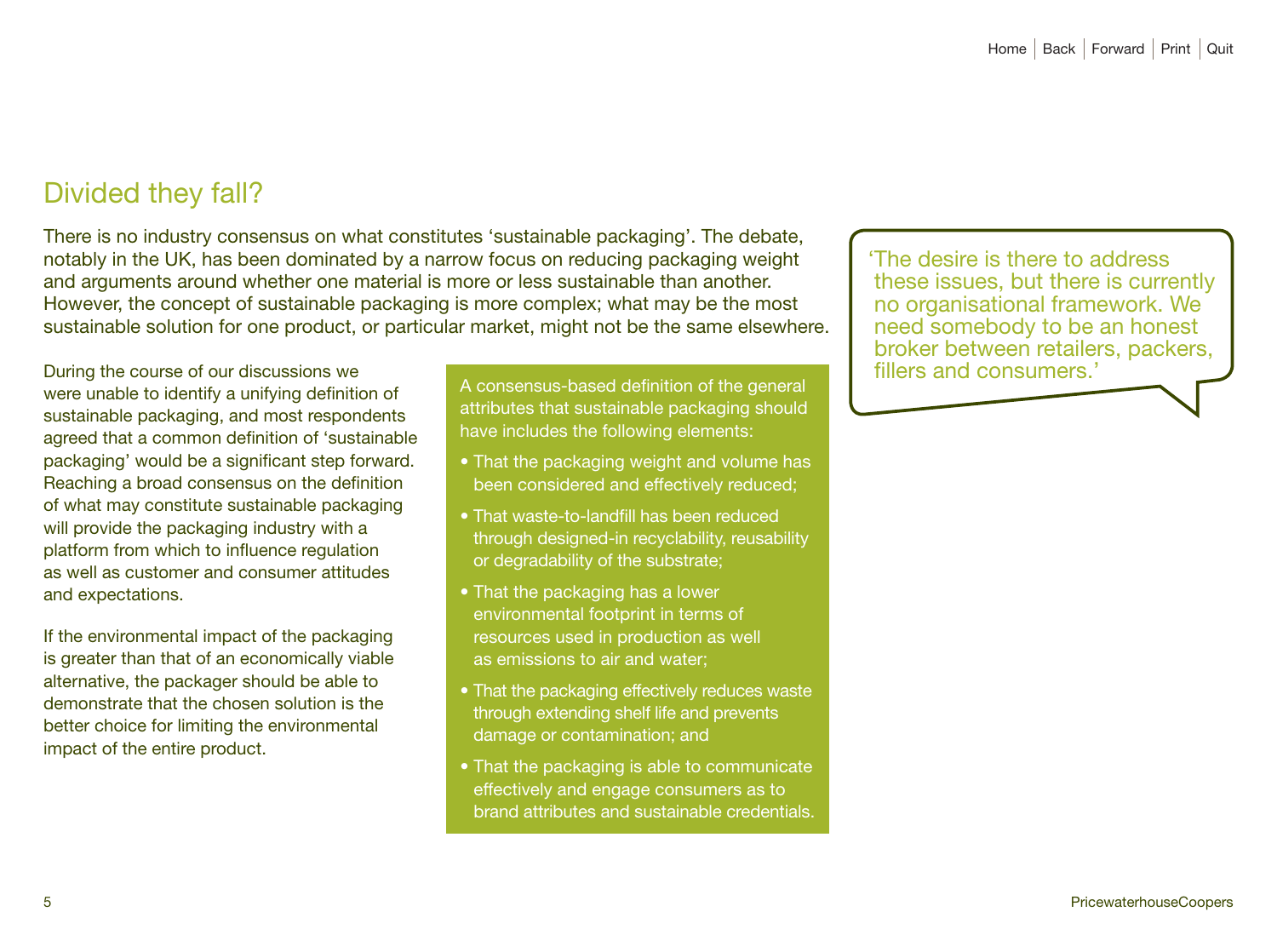# Divided they fall?

There is no industry consensus on what constitutes 'sustainable packaging'. The debate, notably in the UK, has been dominated by a narrow focus on reducing packaging weight and arguments around whether one material is more or less sustainable than another. However, the concept of sustainable packaging is more complex; what may be the most sustainable solution for one product, or particular market, might not be the same elsewhere.

During the course of our discussions we were unable to identify a unifying definition of sustainable packaging, and most respondents agreed that a common definition of 'sustainable packaging' would be a significant step forward. Reaching a broad consensus on the definition of what may constitute sustainable packaging will provide the packaging industry with a platform from which to influence regulation as well as customer and consumer attitudes and expectations.

If the environmental impact of the packaging is greater than that of an economically viable alternative, the packager should be able to demonstrate that the chosen solution is the better choice for limiting the environmental impact of the entire product.

A consensus-based definition of the general attributes that sustainable packaging should have includes the following elements:

- That the packaging weight and volume has been considered and effectively reduced;
- That waste-to-landfill has been reduced through designed-in recyclability, reusability or degradability of the substrate;
- That the packaging has a lower environmental footprint in terms of resources used in production as well as emissions to air and water;
- That the packaging effectively reduces waste through extending shelf life and prevents damage or contamination; and
- That the packaging is able to communicate effectively and engage consumers as to brand attributes and sustainable credentials.

'The desire is there to address these issues, but there is currently no organisational framework. We need somebody to be an honest broker between retailers, packers, fillers and consumers.'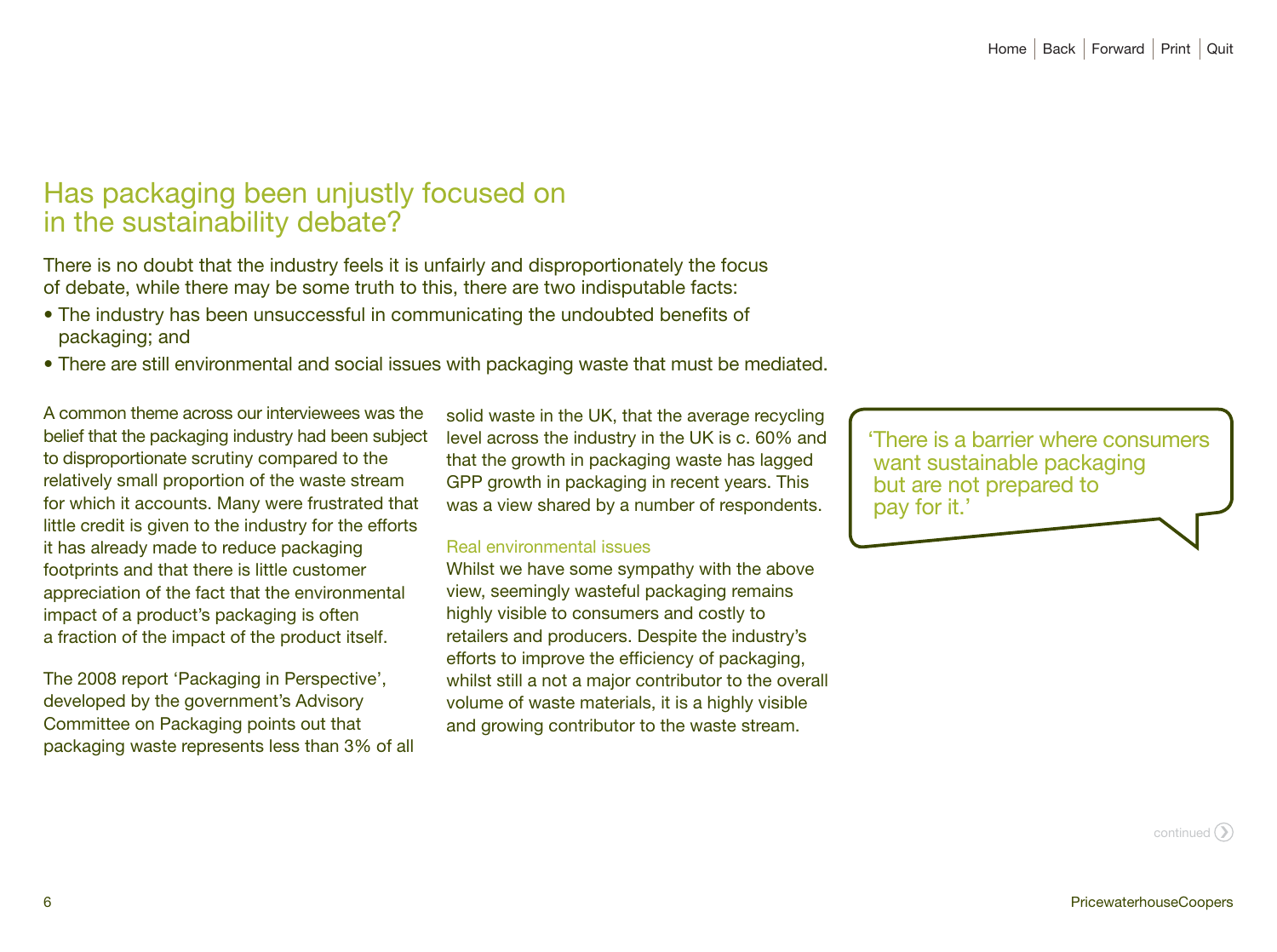# Has packaging been unjustly focused on in the sustainability debate?

There is no doubt that the industry feels it is unfairly and disproportionately the focus of debate, while there may be some truth to this, there are two indisputable facts:

- The industry has been unsuccessful in communicating the undoubted benefits of packaging; and
- There are still environmental and social issues with packaging waste that must be mediated.

A common theme across our interviewees was the belief that the packaging industry had been subject to disproportionate scrutiny compared to the relatively small proportion of the waste stream for which it accounts. Many were frustrated that little credit is given to the industry for the efforts it has already made to reduce packaging footprints and that there is little customer appreciation of the fact that the environmental impact of a product's packaging is often a fraction of the impact of the product itself.

The 2008 report 'Packaging in Perspective', developed by the government's Advisory Committee on Packaging points out that packaging waste represents less than 3% of all

solid waste in the UK, that the average recycling level across the industry in the UK is c. 60% and that the growth in packaging waste has lagged GPP growth in packaging in recent years. This was a view shared by a number of respondents.

#### Real environmental issues

Whilst we have some sympathy with the above view, seemingly wasteful packaging remains highly visible to consumers and costly to retailers and producers. Despite the industry's efforts to improve the efficiency of packaging, whilst still a not a major contributor to the overall volume of waste materials, it is a highly visible and growing contributor to the waste stream.

'There is a barrier where consumers want sustainable packaging but are not prepared to pay for it.'

continued  $\bigcirc$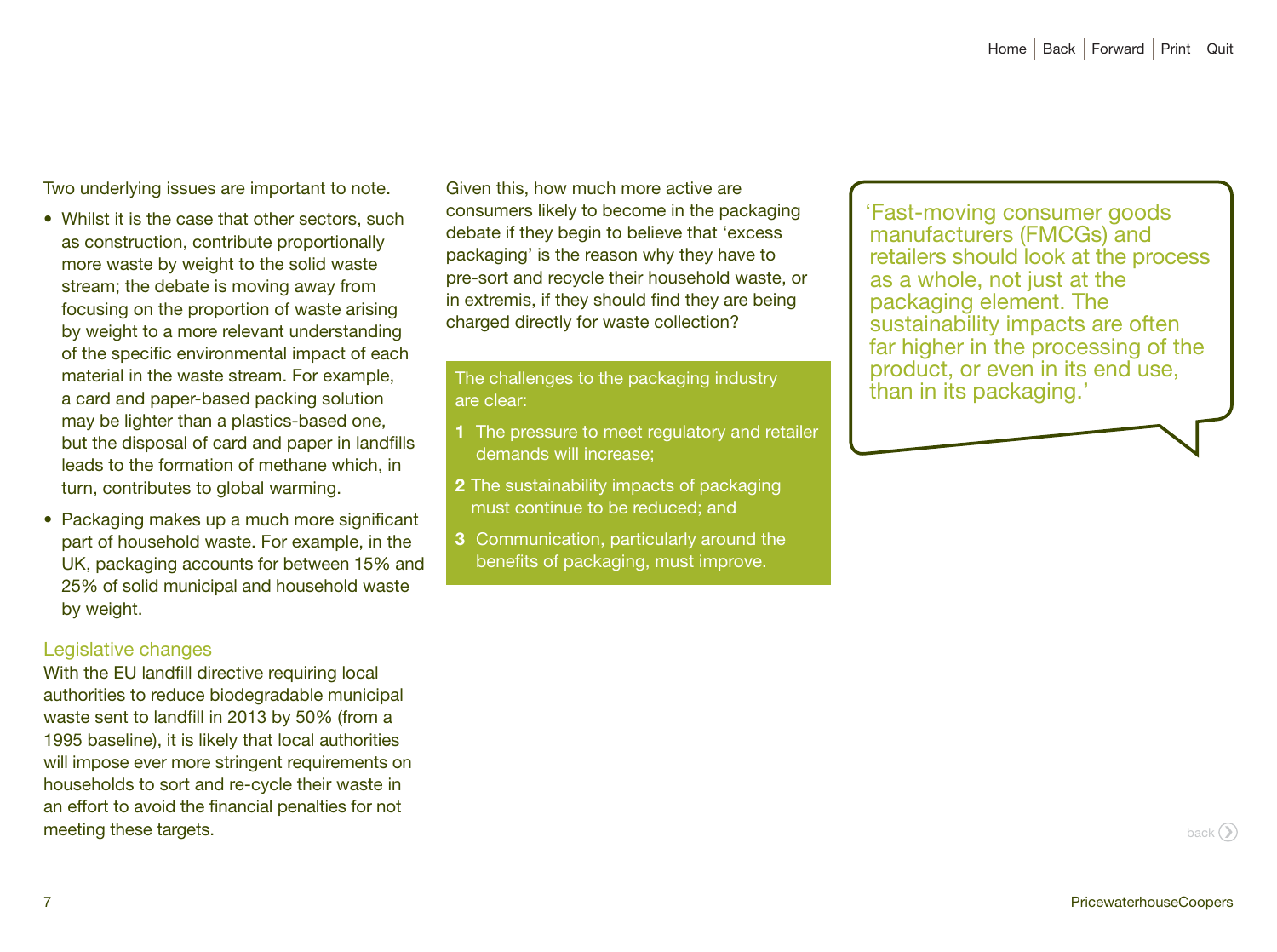Two underlying issues are important to note.

- Whilst it is the case that other sectors, such as construction, contribute proportionally more waste by weight to the solid waste stream; the debate is moving away from focusing on the proportion of waste arising by weight to a more relevant understanding of the specific environmental impact of each material in the waste stream. For example, a card and paper-based packing solution may be lighter than a plastics-based one, but the disposal of card and paper in landfills leads to the formation of methane which, in turn, contributes to global warming.
- Packaging makes up a much more significant part of household waste. For example, in the UK, packaging accounts for between 15% and 25% of solid municipal and household waste by weight.

## Legislative changes

With the EU landfill directive requiring local authorities to reduce biodegradable municipal waste sent to landfill in 2013 by 50% (from a 1995 baseline), it is likely that local authorities will impose ever more stringent requirements on households to sort and re-cycle their waste in an effort to avoid the financial penalties for not meeting these targets.

Given this, how much more active are consumers likely to become in the packaging debate if they begin to believe that 'excess packaging' is the reason why they have to pre-sort and recycle their household waste, or in extremis, if they should find they are being charged directly for waste collection?

The challenges to the packaging industry are clear:

- **1** The pressure to meet regulatory and retailer demands will increase;
- **2** The sustainability impacts of packaging must continue to be reduced; and
- **3** Communication, particularly around the benefits of packaging, must improve.

'Fast-moving consumer goods manufacturers (FMCGs) and retailers should look at the process as a whole, not just at the packaging element. The sustainability impacts are often far higher in the processing of the product, or even in its end use, than in its packaging.'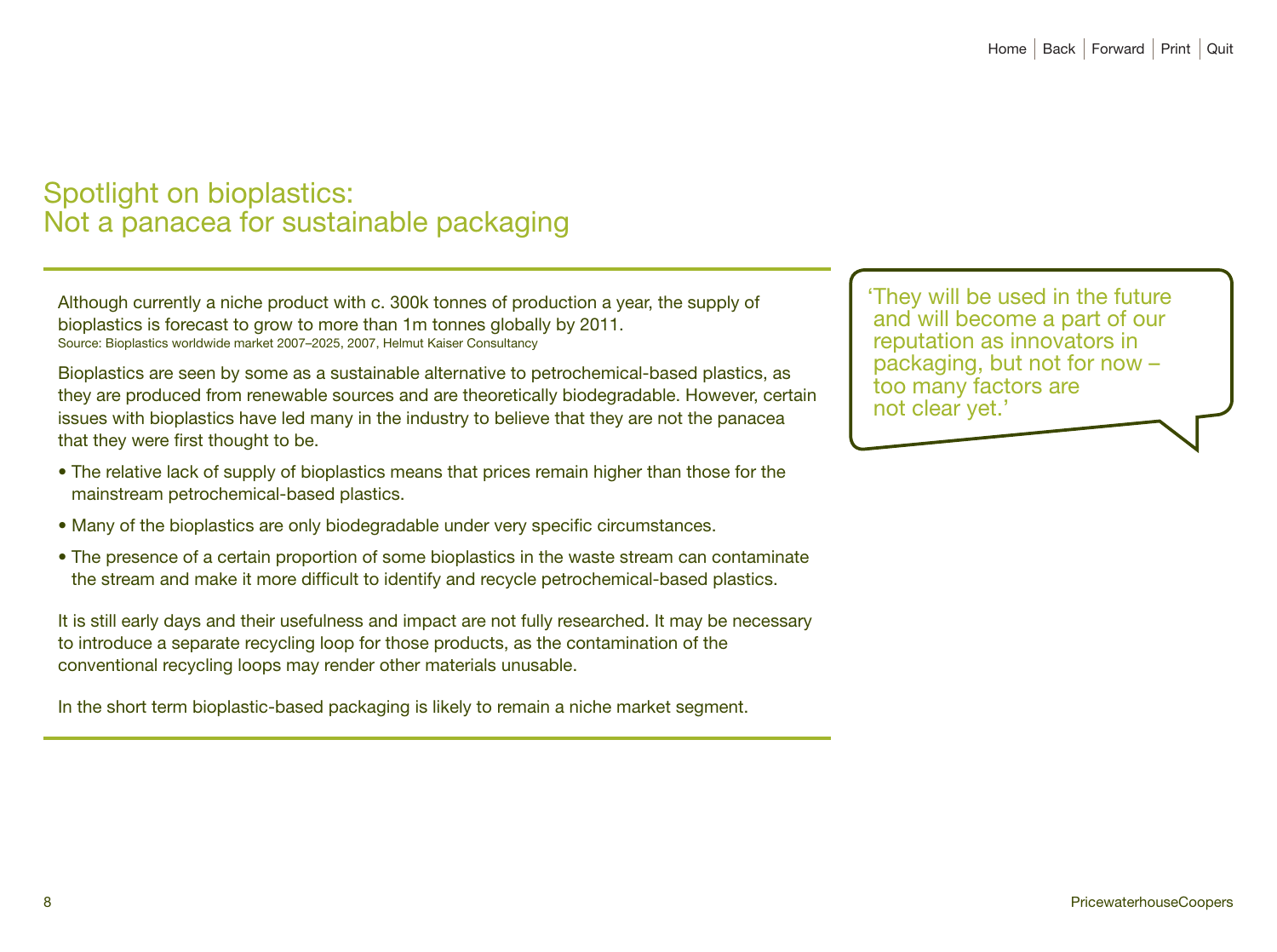# Spotlight on bioplastics: Not a panacea for sustainable packaging

Although currently a niche product with c. 300k tonnes of production a year, the supply of bioplastics is forecast to grow to more than 1m tonnes globally by 2011. Source: Bioplastics worldwide market 2007–2025, 2007, Helmut Kaiser Consultancy

Bioplastics are seen by some as a sustainable alternative to petrochemical-based plastics, as they are produced from renewable sources and are theoretically biodegradable. However, certain issues with bioplastics have led many in the industry to believe that they are not the panacea that they were first thought to be.

- The relative lack of supply of bioplastics means that prices remain higher than those for the mainstream petrochemical-based plastics.
- Many of the bioplastics are only biodegradable under very specific circumstances.
- The presence of a certain proportion of some bioplastics in the waste stream can contaminate the stream and make it more difficult to identify and recycle petrochemical-based plastics.

It is still early days and their usefulness and impact are not fully researched. It may be necessary to introduce a separate recycling loop for those products, as the contamination of the conventional recycling loops may render other materials unusable.

In the short term bioplastic-based packaging is likely to remain a niche market segment.

'They will be used in the future 'They will be used in the future and will become a part of our and will become a part of our reputation as innovators in reputation as innovators in packaging, but not for now – packaging, but not for now – too many factors are clear yet.' not clear yet.'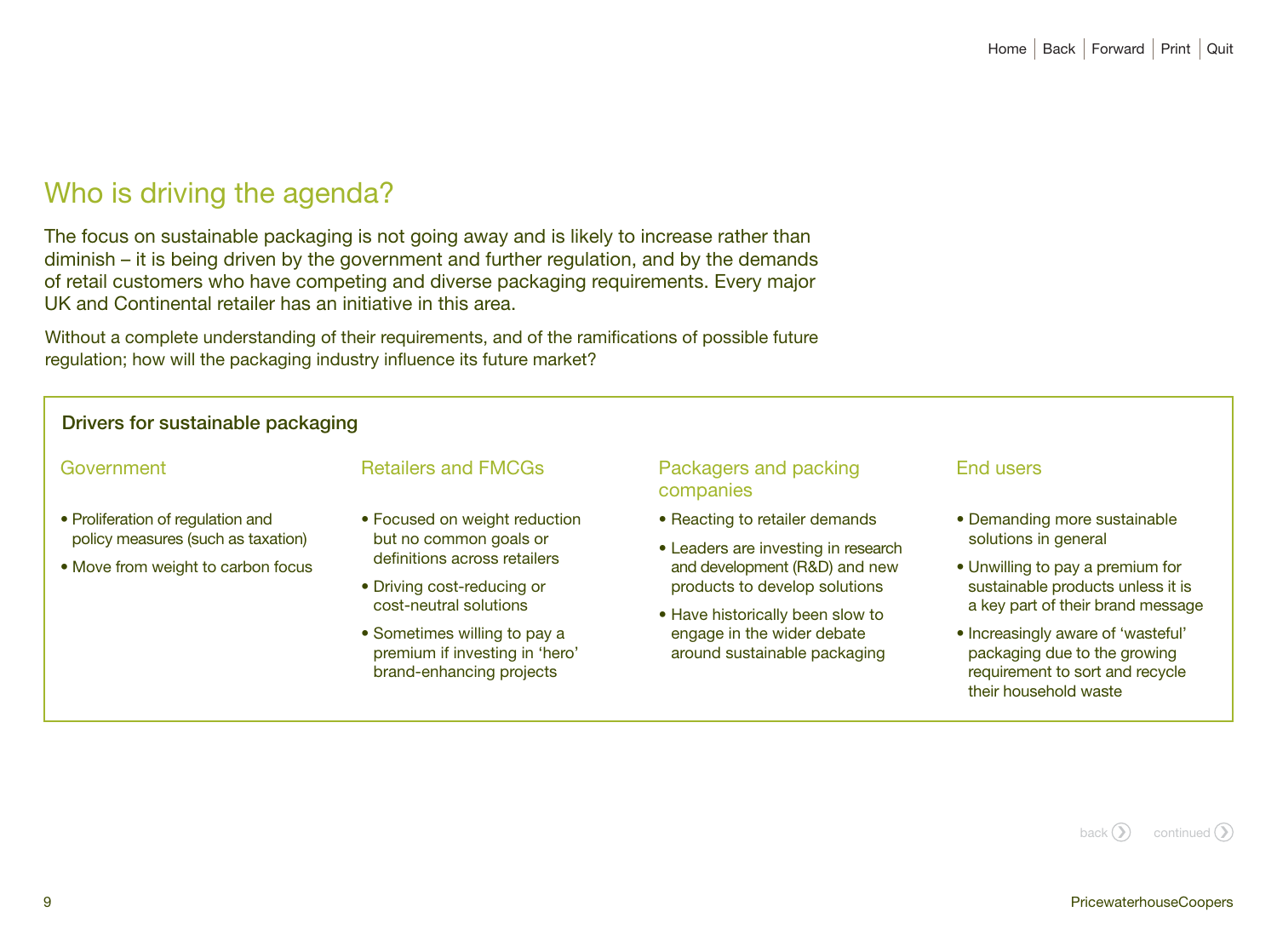# Who is driving the agenda?

The focus on sustainable packaging is not going away and is likely to increase rather than diminish – it is being driven by the government and further regulation, and by the demands of retail customers who have competing and diverse packaging requirements. Every major UK and Continental retailer has an initiative in this area.

Without a complete understanding of their requirements, and of the ramifications of possible future regulation; how will the packaging industry influence its future market?

| Drivers for sustainable packaging                                                                                                                                                                                                                                                                                                                              |                                                                                                                                           |                                                                                                            |                                                            |                                                                                                                                |
|----------------------------------------------------------------------------------------------------------------------------------------------------------------------------------------------------------------------------------------------------------------------------------------------------------------------------------------------------------------|-------------------------------------------------------------------------------------------------------------------------------------------|------------------------------------------------------------------------------------------------------------|------------------------------------------------------------|--------------------------------------------------------------------------------------------------------------------------------|
| <b>Retailers and FMCGs</b>                                                                                                                                                                                                                                                                                                                                     | Packagers and packing<br>companies                                                                                                        | End users                                                                                                  |                                                            |                                                                                                                                |
| • Focused on weight reduction<br>• Proliferation of regulation and<br>policy measures (such as taxation)<br>but no common goals or<br>definitions across retailers<br>• Move from weight to carbon focus<br>• Driving cost-reducing or<br>cost-neutral solutions<br>• Sometimes willing to pay a<br>premium if investing in 'hero'<br>brand-enhancing projects | • Reacting to retailer demands                                                                                                            | • Demanding more sustainable                                                                               |                                                            |                                                                                                                                |
|                                                                                                                                                                                                                                                                                                                                                                | • Leaders are investing in research<br>and development (R&D) and new<br>products to develop solutions<br>• Have historically been slow to | solutions in general                                                                                       |                                                            |                                                                                                                                |
|                                                                                                                                                                                                                                                                                                                                                                |                                                                                                                                           | • Unwilling to pay a premium for<br>sustainable products unless it is<br>a key part of their brand message |                                                            |                                                                                                                                |
|                                                                                                                                                                                                                                                                                                                                                                |                                                                                                                                           |                                                                                                            | engage in the wider debate<br>around sustainable packaging | • Increasingly aware of 'wasteful'<br>packaging due to the growing<br>requirement to sort and recycle<br>their household waste |
|                                                                                                                                                                                                                                                                                                                                                                |                                                                                                                                           |                                                                                                            |                                                            |                                                                                                                                |

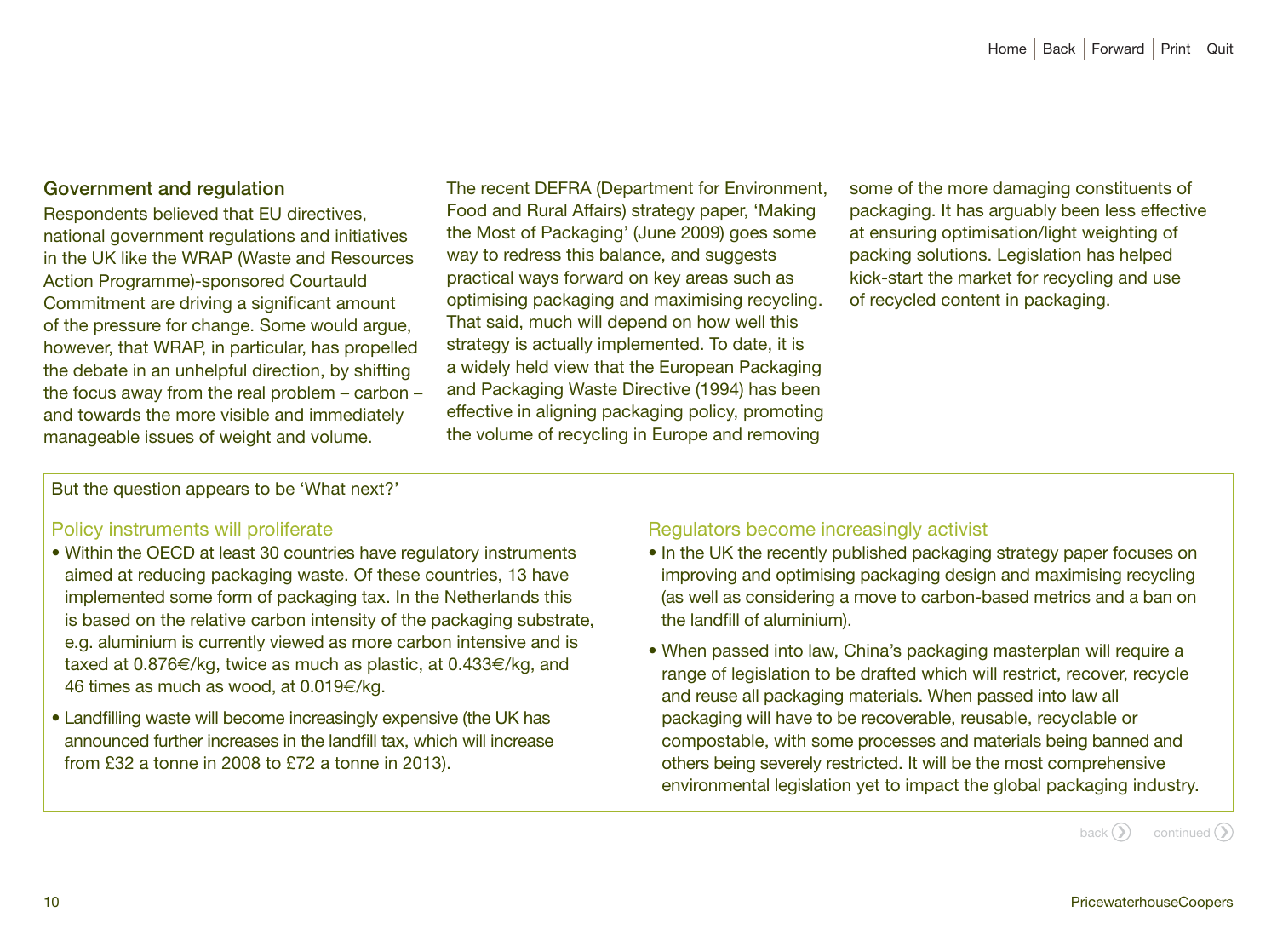## Government and regulation

Respondents believed that EU directives, national government regulations and initiatives in the UK like the WRAP (Waste and Resources Action Programme)-sponsored Courtauld Commitment are driving a significant amount of the pressure for change. Some would argue, however, that WRAP, in particular, has propelled the debate in an unhelpful direction, by shifting the focus away from the real problem – carbon – and towards the more visible and immediately manageable issues of weight and volume.

The recent DEFRA (Department for Environment, Food and Rural Affairs) strategy paper, 'Making the Most of Packaging' (June 2009) goes some way to redress this balance, and suggests practical ways forward on key areas such as optimising packaging and maximising recycling. That said, much will depend on how well this strategy is actually implemented. To date, it is a widely held view that the European Packaging and Packaging Waste Directive (1994) has been effective in aligning packaging policy, promoting the volume of recycling in Europe and removing

some of the more damaging constituents of packaging. It has arguably been less effective at ensuring optimisation/light weighting of packing solutions. Legislation has helped kick-start the market for recycling and use of recycled content in packaging.

But the question appears to be 'What next?'

#### Policy instruments will proliferate

- Within the OECD at least 30 countries have regulatory instruments aimed at reducing packaging waste. Of these countries, 13 have implemented some form of packaging tax. In the Netherlands this is based on the relative carbon intensity of the packaging substrate, e.g. aluminium is currently viewed as more carbon intensive and is taxed at 0.876€/kg, twice as much as plastic, at 0.433€/kg, and 46 times as much as wood, at 0.019€/kg.
- Landfilling waste will become increasingly expensive (the UK has announced further increases in the landfill tax, which will increase from £32 a tonne in 2008 to £72 a tonne in 2013).

## Regulators become increasingly activist

- In the UK the recently published packaging strategy paper focuses on improving and optimising packaging design and maximising recycling (as well as considering a move to carbon-based metrics and a ban on the landfill of aluminium).
- When passed into law, China's packaging masterplan will require a range of legislation to be drafted which will restrict, recover, recycle and reuse all packaging materials. When passed into law all packaging will have to be recoverable, reusable, recyclable or compostable, with some processes and materials being banned and others being severely restricted. It will be the most comprehensive environmental legislation yet to impact the global packaging industry.

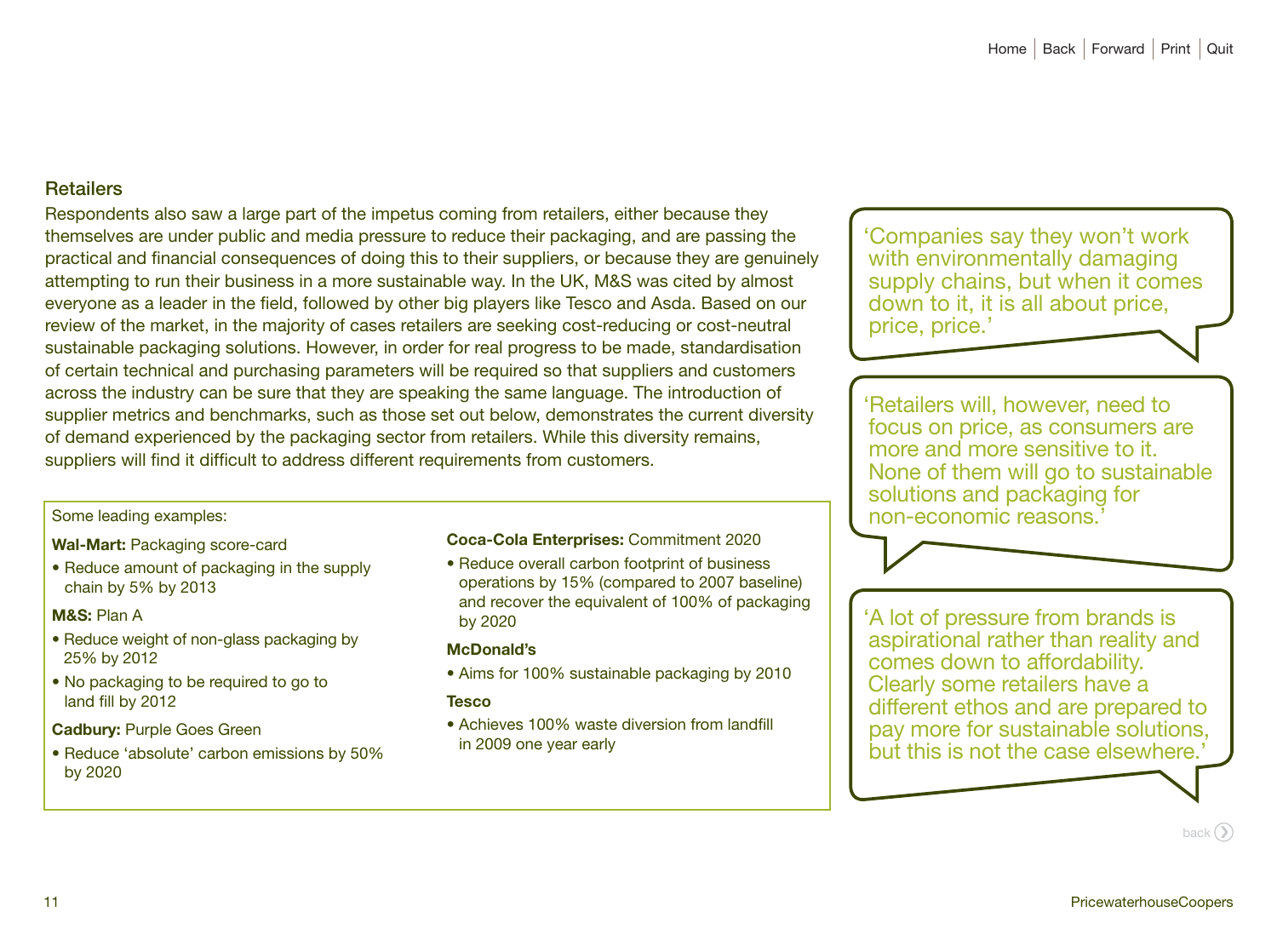## **Retailers**

Respondents also saw a large part of the impetus coming from retailers, either because they themselves are under public and media pressure to reduce their packaging, and are passing the practical and financial consequences of doing this to their suppliers, or because they are genuinely attempting to run their business in a more sustainable way. In the UK, M&S was cited by almost everyone as a leader in the field, followed by other big players like Tesco and Asda. Based on our review of the market, in the majority of cases retailers are seeking cost-reducing or cost-neutral sustainable packaging solutions. However, in order for real progress to be made, standardisation of certain technical and purchasing parameters will be required so that suppliers and customers across the industry can be sure that they are speaking the same language. The introduction of supplier metrics and benchmarks, such as those set out below, demonstrates the current diversity of demand experienced by the packaging sector from retailers. While this diversity remains, suppliers will find it difficult to address different requirements from customers.

## Some leading examples:

#### **Wal-Mart:** Packaging score-card

• Reduce amount of packaging in the supply chain by 5% by 2013

#### **M&S:** Plan A

- Reduce weight of non-glass packaging by 25% by 2012
- No packaging to be required to go to land fill by 2012

**Cadbury:** Purple Goes Green

• Reduce 'absolute' carbon emissions by 50% by 2020

## **Coca-Cola Enterprises:** Commitment 2020

• Reduce overall carbon footprint of business operations by 15% (compared to 2007 baseline) and recover the equivalent of 100% of packaging by 2020

#### **McDonald's**

• Aims for 100% sustainable packaging by 2010

#### **Tesco**

• Achieves 100% waste diversion from landfill in 2009 one year early

'Companies say they won't work with environmentally damaging supply chains, but when it comes down to it, it is all about price, price, price.'

'Retailers will, however, need to focus on price, as consumers are more and more sensitive to it. None of them will go to sustainable solutions and packaging for non-economic reasons.'



'A lot of pressure from brands is aspirational rather than reality and comes down to affordability. Clearly some retailers have a different ethos and are prepared to pay more for sustainable solutions, but this is not the case elsewhere.'

 $back$  $()$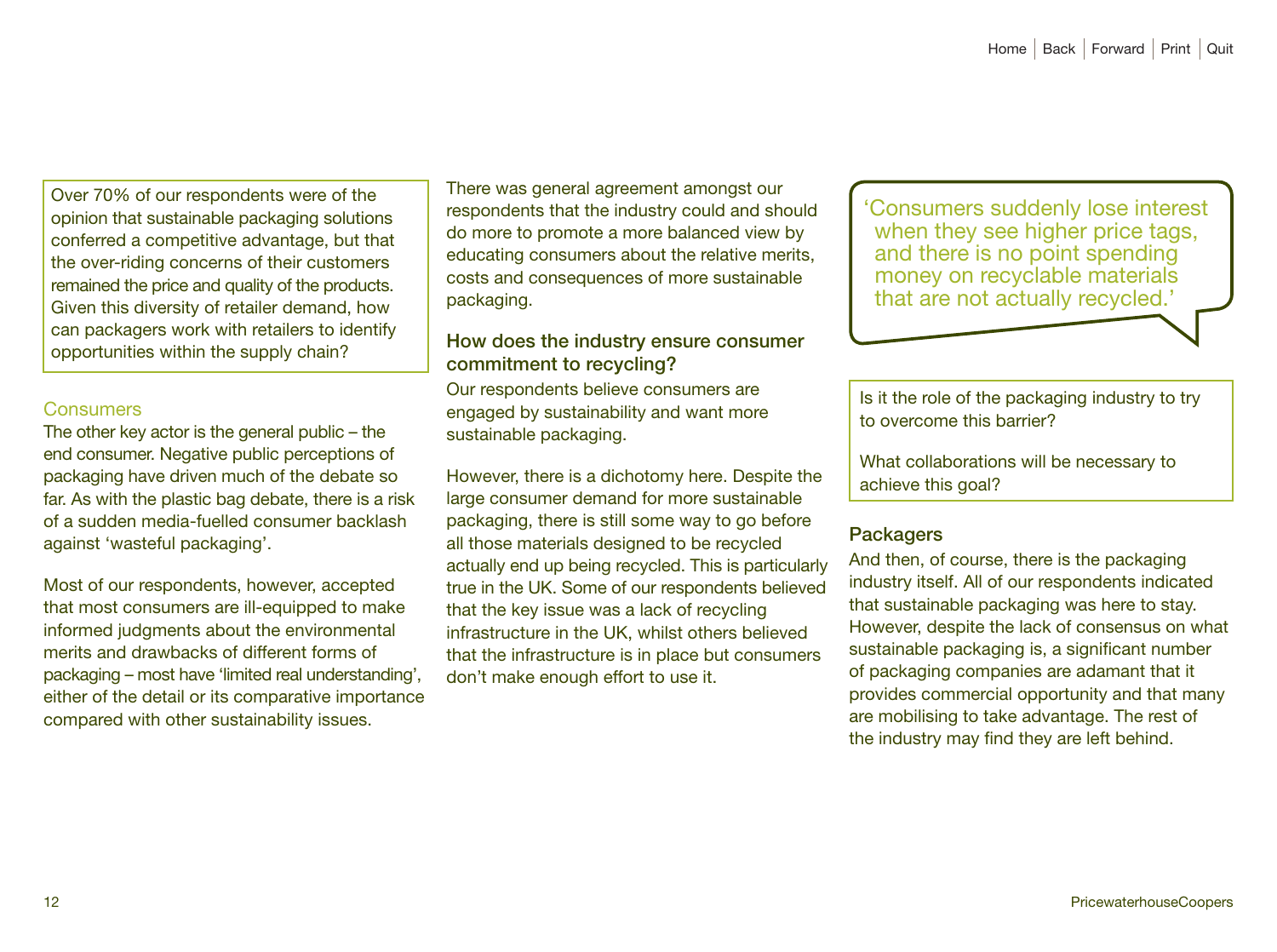Over 70% of our respondents were of the opinion that sustainable packaging solutions conferred a competitive advantage, but that the over-riding concerns of their customers remained the price and quality of the products. Given this diversity of retailer demand, how can packagers work with retailers to identify opportunities within the supply chain?

#### **Consumers**

The other key actor is the general public – the end consumer. Negative public perceptions of packaging have driven much of the debate so far. As with the plastic bag debate, there is a risk of a sudden media-fuelled consumer backlash against 'wasteful packaging'.

Most of our respondents, however, accepted that most consumers are ill-equipped to make informed judgments about the environmental merits and drawbacks of different forms of packaging – most have 'limited real understanding', either of the detail or its comparative importance compared with other sustainability issues.

There was general agreement amongst our respondents that the industry could and should do more to promote a more balanced view by educating consumers about the relative merits, costs and consequences of more sustainable packaging.

## How does the industry ensure consumer commitment to recycling?

Our respondents believe consumers are engaged by sustainability and want more sustainable packaging.

However, there is a dichotomy here. Despite the large consumer demand for more sustainable packaging, there is still some way to go before all those materials designed to be recycled actually end up being recycled. This is particularly true in the UK. Some of our respondents believed that the key issue was a lack of recycling infrastructure in the UK, whilst others believed that the infrastructure is in place but consumers don't make enough effort to use it.

'Consumers suddenly lose interest when they see higher price tags, and there is no point spending money on recyclable materials that are not actually recycled.'

Is it the role of the packaging industry to try to overcome this barrier?

What collaborations will be necessary to achieve this goal?

## **Packagers**

And then, of course, there is the packaging industry itself. All of our respondents indicated that sustainable packaging was here to stay. However, despite the lack of consensus on what sustainable packaging is, a significant number of packaging companies are adamant that it provides commercial opportunity and that many are mobilising to take advantage. The rest of the industry may find they are left behind.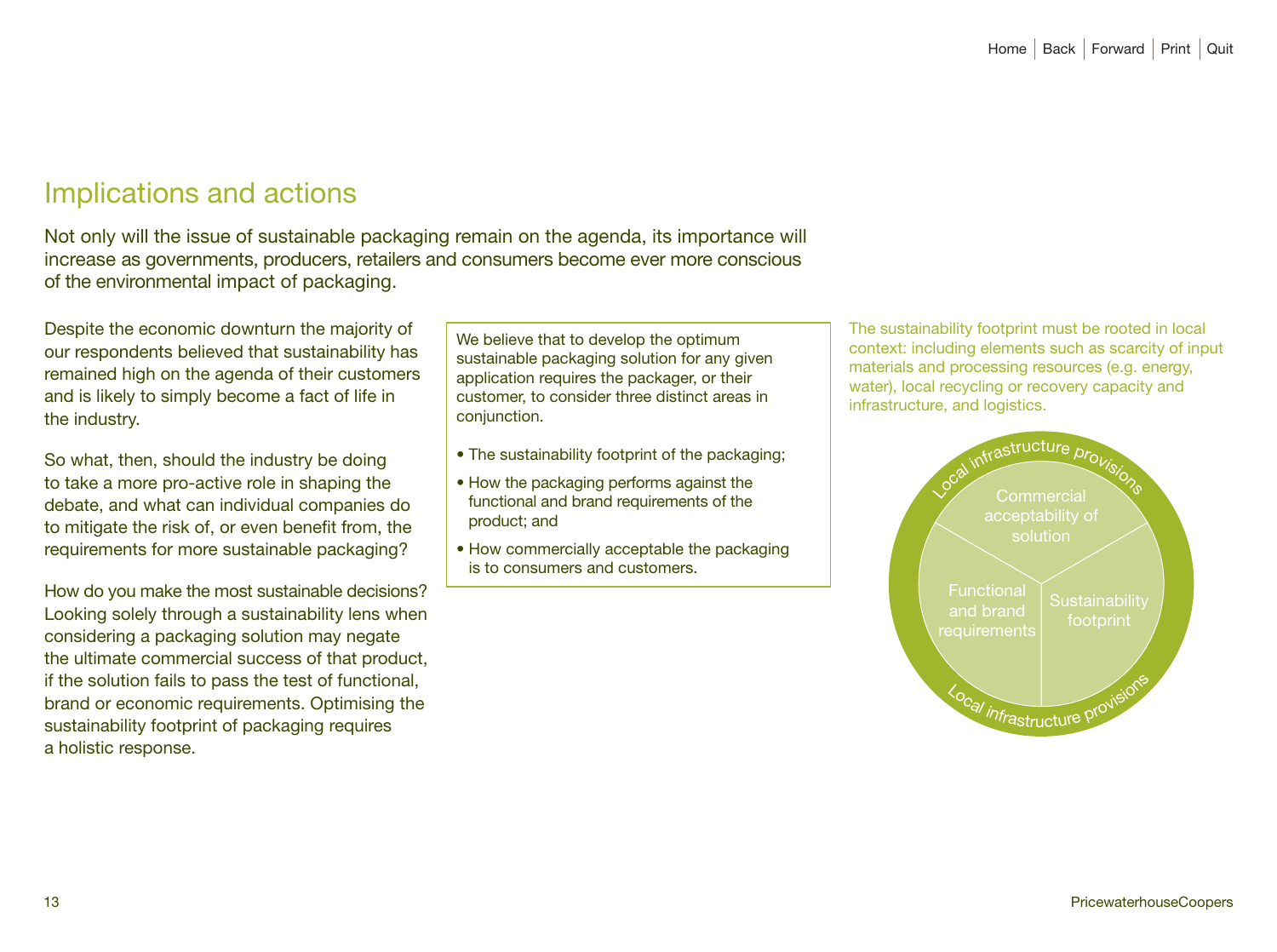# Implications and actions

Not only will the issue of sustainable packaging remain on the agenda, its importance will increase as governments, producers, retailers and consumers become ever more conscious of the environmental impact of packaging.

Despite the economic downturn the majority of our respondents believed that sustainability has remained high on the agenda of their customers and is likely to simply become a fact of life in the industry.

So what, then, should the industry be doing to take a more pro-active role in shaping the debate, and what can individual companies do to mitigate the risk of, or even benefit from, the requirements for more sustainable packaging?

How do you make the most sustainable decisions? Looking solely through a sustainability lens when considering a packaging solution may negate the ultimate commercial success of that product, if the solution fails to pass the test of functional, brand or economic requirements. Optimising the sustainability footprint of packaging requires a holistic response.

We believe that to develop the optimum sustainable packaging solution for any given application requires the packager, or their customer, to consider three distinct areas in conjunction.

- The sustainability footprint of the packaging;
- How the packaging performs against the functional and brand requirements of the product; and
- How commercially acceptable the packaging is to consumers and customers.

The sustainability footprint must be rooted in local context: including elements such as scarcity of input materials and processing resources (e.g. energy, water), local recycling or recovery capacity and infrastructure, and logistics.

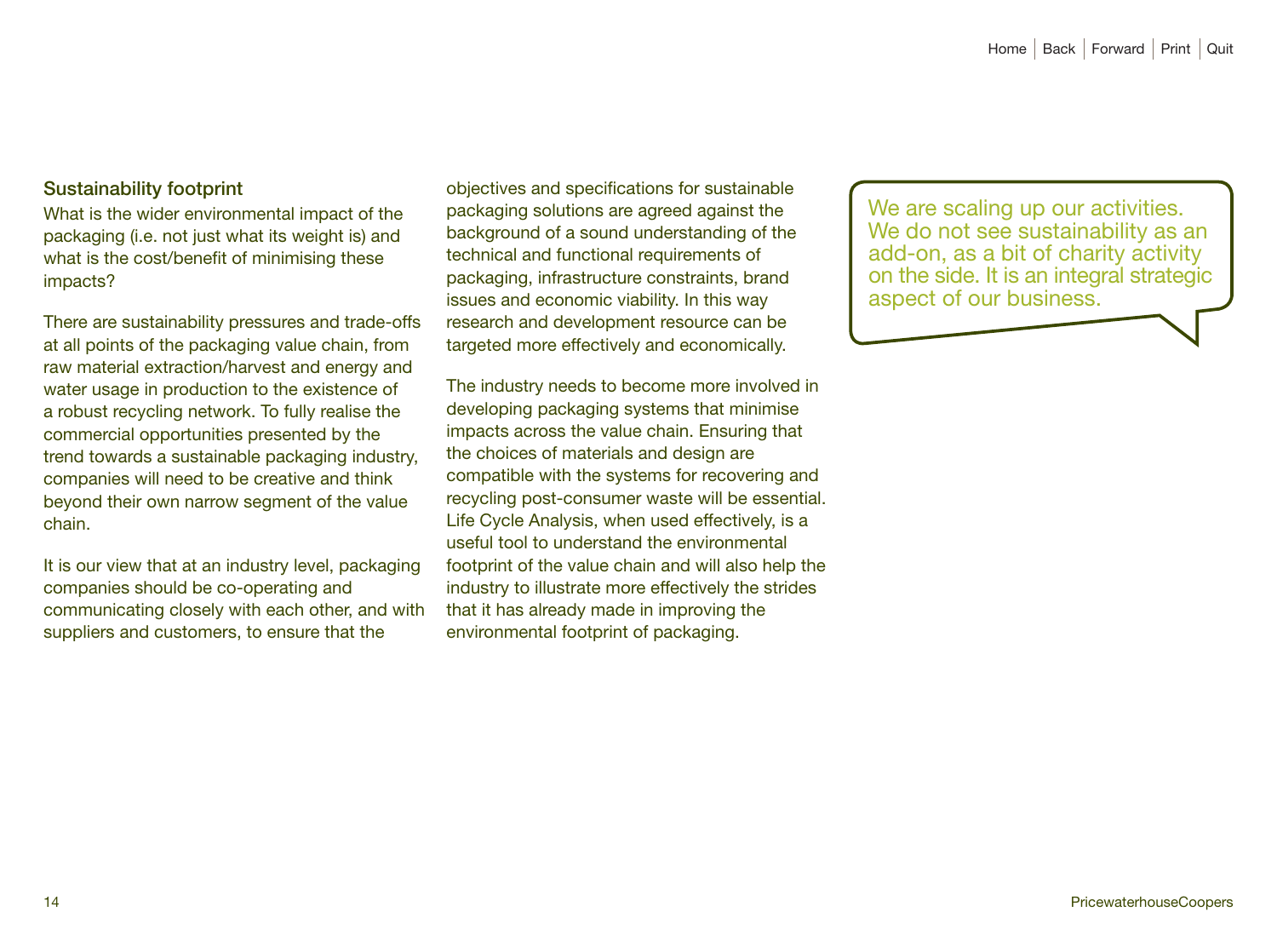## Sustainability footprint

What is the wider environmental impact of the packaging (i.e. not just what its weight is) and what is the cost/benefit of minimising these impacts?

There are sustainability pressures and trade-offs at all points of the packaging value chain, from raw material extraction/harvest and energy and water usage in production to the existence of a robust recycling network. To fully realise the commercial opportunities presented by the trend towards a sustainable packaging industry, companies will need to be creative and think beyond their own narrow segment of the value chain.

It is our view that at an industry level, packaging companies should be co-operating and communicating closely with each other, and with suppliers and customers, to ensure that the

objectives and specifications for sustainable packaging solutions are agreed against the background of a sound understanding of the technical and functional requirements of packaging, infrastructure constraints, brand issues and economic viability. In this way research and development resource can be targeted more effectively and economically.

The industry needs to become more involved in developing packaging systems that minimise impacts across the value chain. Ensuring that the choices of materials and design are compatible with the systems for recovering and recycling post-consumer waste will be essential. Life Cycle Analysis, when used effectively, is a useful tool to understand the environmental footprint of the value chain and will also help the industry to illustrate more effectively the strides that it has already made in improving the environmental footprint of packaging.

We are scaling up our activities. We do not see sustainability as an add-on, as a bit of charity activity on the side. It is an integral strategic aspect of our business.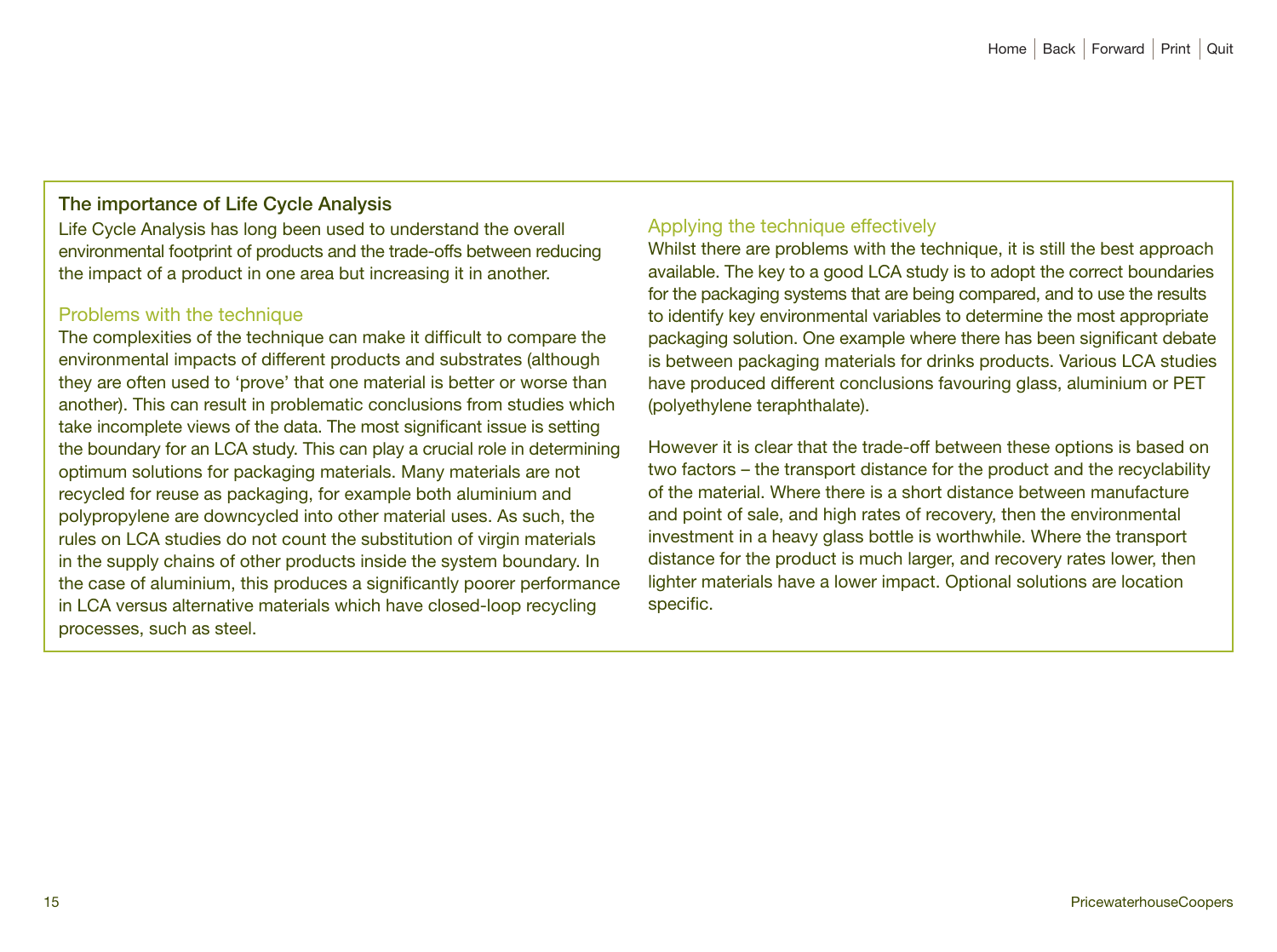## The importance of Life Cycle Analysis

Life Cycle Analysis has long been used to understand the overall environmental footprint of products and the trade-offs between reducing the impact of a product in one area but increasing it in another.

#### Problems with the technique

The complexities of the technique can make it difficult to compare the environmental impacts of different products and substrates (although they are often used to 'prove' that one material is better or worse than another). This can result in problematic conclusions from studies which take incomplete views of the data. The most significant issue is setting the boundary for an LCA study. This can play a crucial role in determining optimum solutions for packaging materials. Many materials are not recycled for reuse as packaging, for example both aluminium and polypropylene are downcycled into other material uses. As such, the rules on LCA studies do not count the substitution of virgin materials in the supply chains of other products inside the system boundary. In the case of aluminium, this produces a significantly poorer performance in LCA versus alternative materials which have closed-loop recycling processes, such as steel.

## Applying the technique effectively

Whilst there are problems with the technique, it is still the best approach available. The key to a good LCA study is to adopt the correct boundaries for the packaging systems that are being compared, and to use the results to identify key environmental variables to determine the most appropriate packaging solution. One example where there has been significant debate is between packaging materials for drinks products. Various LCA studies have produced different conclusions favouring glass, aluminium or PET (polyethylene teraphthalate).

However it is clear that the trade-off between these options is based on two factors – the transport distance for the product and the recyclability of the material. Where there is a short distance between manufacture and point of sale, and high rates of recovery, then the environmental investment in a heavy glass bottle is worthwhile. Where the transport distance for the product is much larger, and recovery rates lower, then lighter materials have a lower impact. Optional solutions are location specific.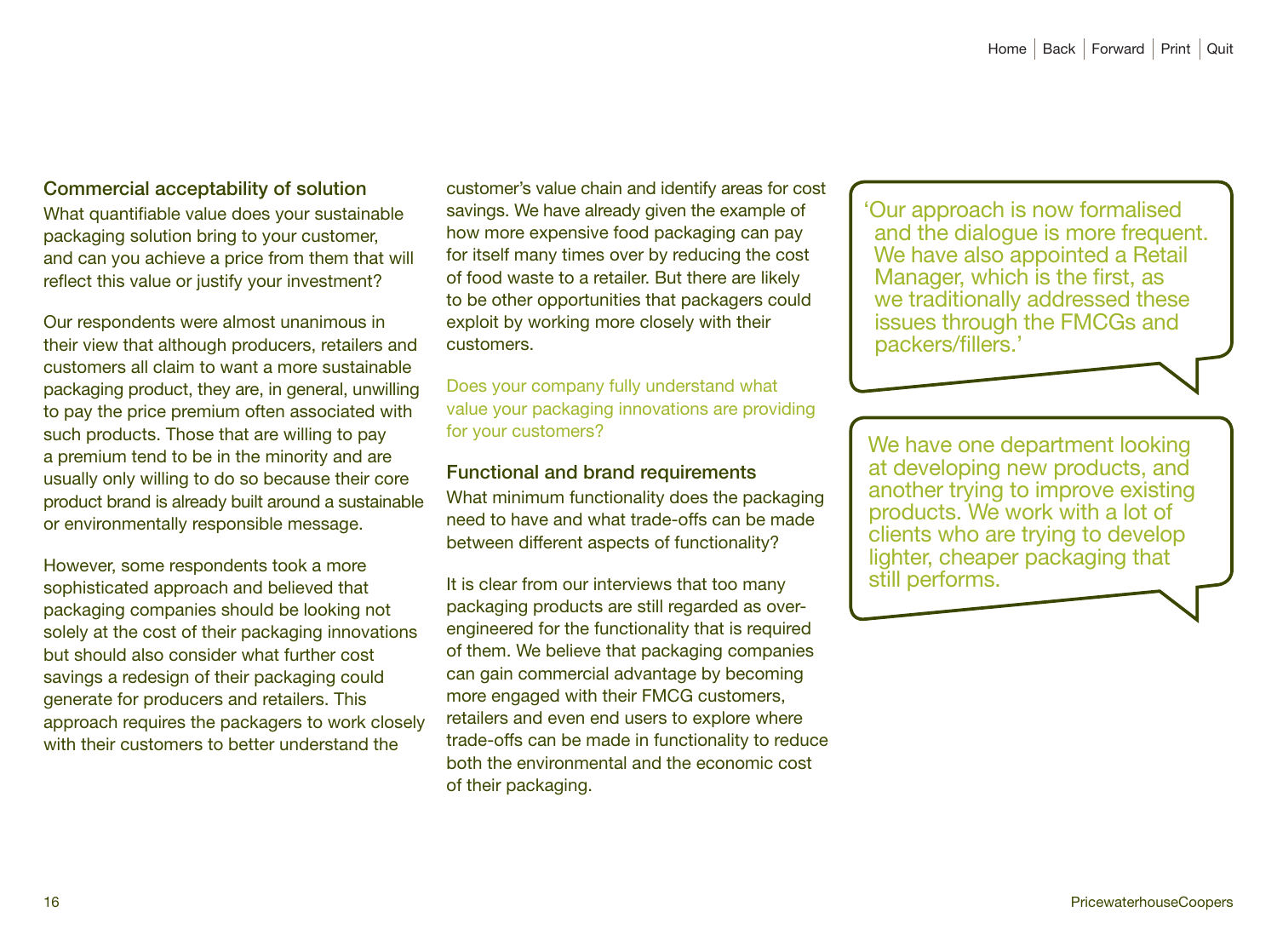## Commercial acceptability of solution

What quantifiable value does your sustainable packaging solution bring to your customer, and can you achieve a price from them that will reflect this value or justify your investment?

Our respondents were almost unanimous in their view that although producers, retailers and customers all claim to want a more sustainable packaging product, they are, in general, unwilling to pay the price premium often associated with such products. Those that are willing to pay a premium tend to be in the minority and are usually only willing to do so because their core product brand is already built around a sustainable or environmentally responsible message.

However, some respondents took a more sophisticated approach and believed that packaging companies should be looking not solely at the cost of their packaging innovations but should also consider what further cost savings a redesign of their packaging could generate for producers and retailers. This approach requires the packagers to work closely with their customers to better understand the

customer's value chain and identify areas for cost savings. We have already given the example of how more expensive food packaging can pay for itself many times over by reducing the cost of food waste to a retailer. But there are likely to be other opportunities that packagers could exploit by working more closely with their customers.

Does your company fully understand what value your packaging innovations are providing for your customers?

#### Functional and brand requirements

What minimum functionality does the packaging need to have and what trade-offs can be made between different aspects of functionality?

It is clear from our interviews that too many packaging products are still regarded as overengineered for the functionality that is required of them. We believe that packaging companies can gain commercial advantage by becoming more engaged with their FMCG customers, retailers and even end users to explore where trade-offs can be made in functionality to reduce both the environmental and the economic cost of their packaging.

'Our approach is now formalised and the dialogue is more frequent. We have also appointed a Retail Manager, which is the first, as we traditionally addressed these issues through the FMCGs and packers/fillers.'

We have one department looking at developing new products, and another trying to improve existing products. We work with a lot of clients who are trying to develop lighter, cheaper packaging that still performs.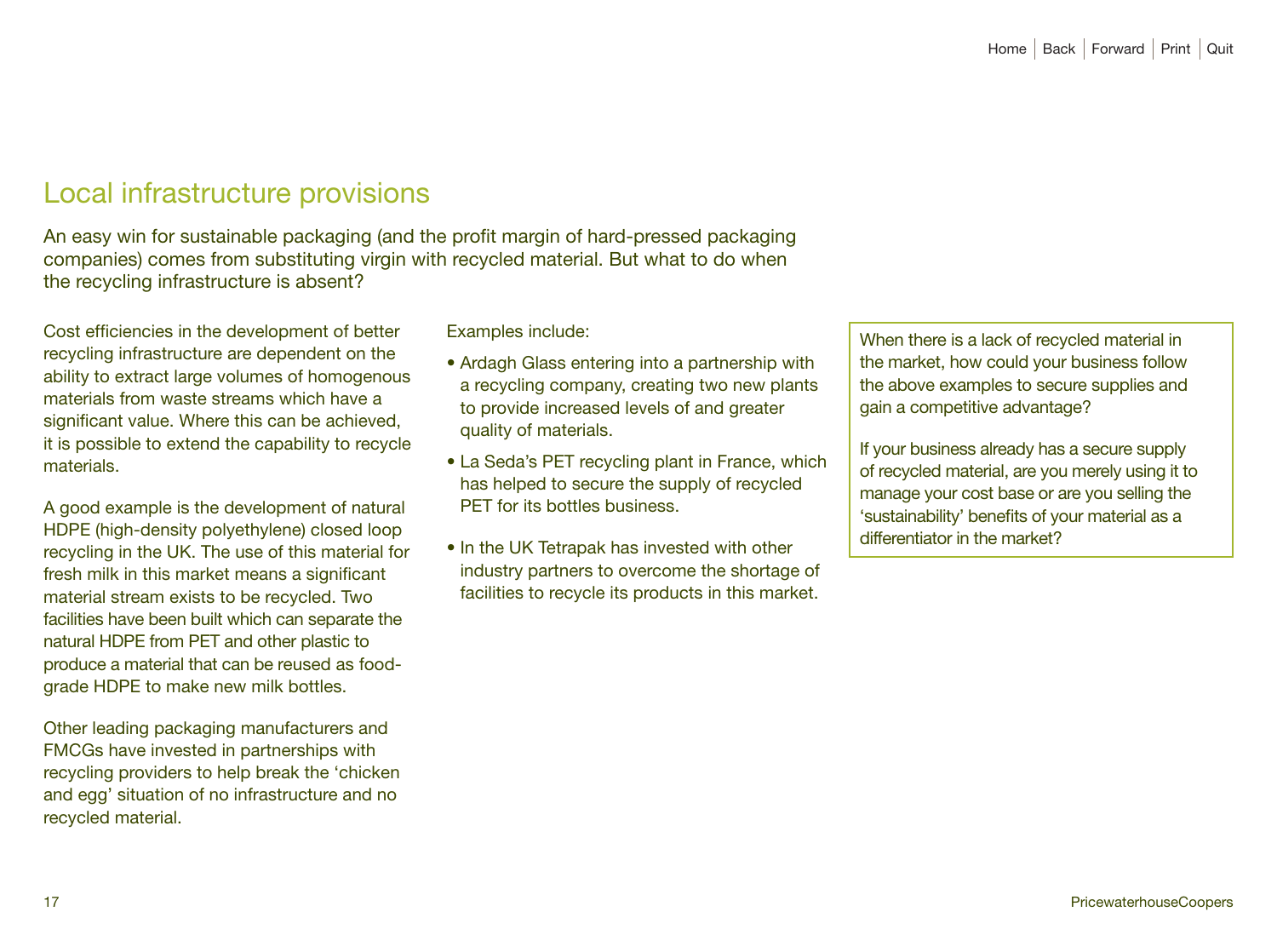# Local infrastructure provisions

An easy win for sustainable packaging (and the profit margin of hard-pressed packaging companies) comes from substituting virgin with recycled material. But what to do when the recycling infrastructure is absent?

Cost efficiencies in the development of better recycling infrastructure are dependent on the ability to extract large volumes of homogenous materials from waste streams which have a significant value. Where this can be achieved, it is possible to extend the capability to recycle materials.

A good example is the development of natural HDPE (high-density polyethylene) closed loop recycling in the UK. The use of this material for fresh milk in this market means a significant material stream exists to be recycled. Two facilities have been built which can separate the natural HDPE from PET and other plastic to produce a material that can be reused as foodgrade HDPE to make new milk bottles.

Other leading packaging manufacturers and FMCGs have invested in partnerships with recycling providers to help break the 'chicken and egg' situation of no infrastructure and no recycled material.

Examples include:

- Ardagh Glass entering into a partnership with a recycling company, creating two new plants to provide increased levels of and greater quality of materials.
- La Seda's PET recycling plant in France, which has helped to secure the supply of recycled PET for its bottles business.
- In the UK Tetrapak has invested with other industry partners to overcome the shortage of facilities to recycle its products in this market.

When there is a lack of recycled material in the market, how could your business follow the above examples to secure supplies and gain a competitive advantage?

If your business already has a secure supply of recycled material, are you merely using it to manage your cost base or are you selling the 'sustainability' benefits of your material as a differentiator in the market?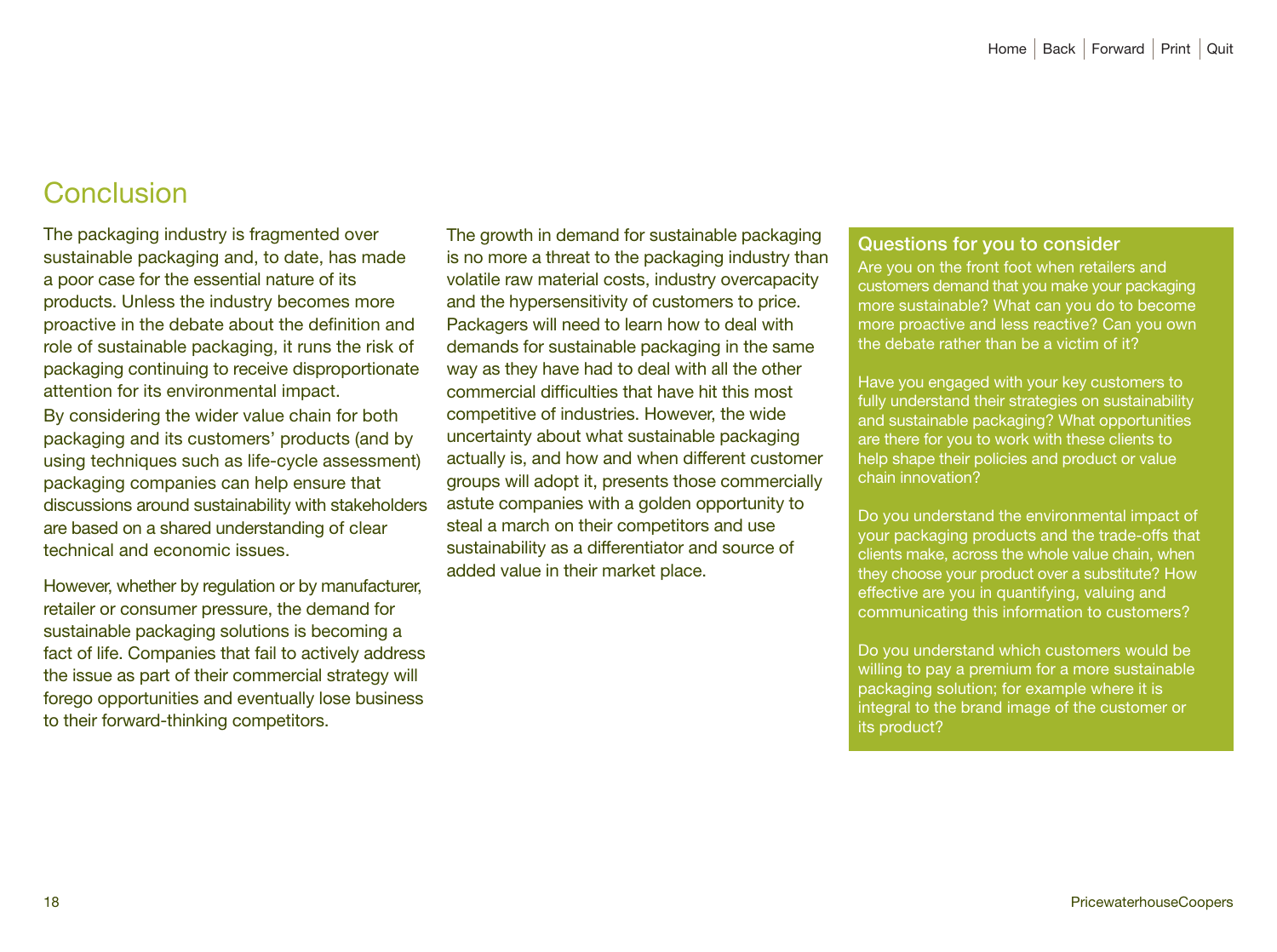# Conclusion

The packaging industry is fragmented over sustainable packaging and, to date, has made a poor case for the essential nature of its products. Unless the industry becomes more proactive in the debate about the definition and role of sustainable packaging, it runs the risk of packaging continuing to receive disproportionate attention for its environmental impact. By considering the wider value chain for both packaging and its customers' products (and by using techniques such as life-cycle assessment) packaging companies can help ensure that discussions around sustainability with stakeholders are based on a shared understanding of clear technical and economic issues.

However, whether by regulation or by manufacturer, retailer or consumer pressure, the demand for sustainable packaging solutions is becoming a fact of life. Companies that fail to actively address the issue as part of their commercial strategy will forego opportunities and eventually lose business to their forward-thinking competitors.

The growth in demand for sustainable packaging is no more a threat to the packaging industry than volatile raw material costs, industry overcapacity and the hypersensitivity of customers to price. Packagers will need to learn how to deal with demands for sustainable packaging in the same way as they have had to deal with all the other commercial difficulties that have hit this most competitive of industries. However, the wide uncertainty about what sustainable packaging actually is, and how and when different customer groups will adopt it, presents those commercially astute companies with a golden opportunity to steal a march on their competitors and use sustainability as a differentiator and source of added value in their market place.

#### Questions for you to consider

Are you on the front foot when retailers and customers demand that you make your packaging more sustainable? What can you do to become more proactive and less reactive? Can you own the debate rather than be a victim of it?

Have you engaged with your key customers to fully understand their strategies on sustainability and sustainable packaging? What opportunities are there for you to work with these clients to help shape their policies and product or value chain innovation?

Do you understand the environmental impact of your packaging products and the trade-offs that clients make, across the whole value chain, when they choose your product over a substitute? How effective are you in quantifying, valuing and communicating this information to customers?

Do you understand which customers would be willing to pay a premium for a more sustainable packaging solution; for example where it is integral to the brand image of the customer or its product?